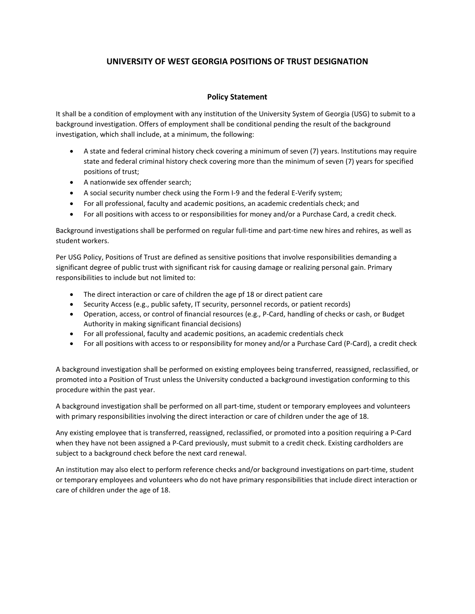## **UNIVERSITY OF WEST GEORGIA POSITIONS OF TRUST DESIGNATION**

## **Policy Statement**

It shall be a condition of employment with any institution of the University System of Georgia (USG) to submit to a background investigation. Offers of employment shall be conditional pending the result of the background investigation, which shall include, at a minimum, the following:

- A state and federal criminal history check covering a minimum of seven (7) years. Institutions may require state and federal criminal history check covering more than the minimum of seven (7) years for specified positions of trust;
- A nationwide sex offender search;
- A social security number check using the Form I-9 and the federal E-Verify system;
- For all professional, faculty and academic positions, an academic credentials check; and
- For all positions with access to or responsibilities for money and/or a Purchase Card, a credit check.

Background investigations shall be performed on regular full-time and part-time new hires and rehires, as well as student workers.

Per USG Policy, Positions of Trust are defined as sensitive positions that involve responsibilities demanding a significant degree of public trust with significant risk for causing damage or realizing personal gain. Primary responsibilities to include but not limited to:

- The direct interaction or care of children the age pf 18 or direct patient care
- Security Access (e.g., public safety, IT security, personnel records, or patient records)
- Operation, access, or control of financial resources (e.g., P-Card, handling of checks or cash, or Budget Authority in making significant financial decisions)
- For all professional, faculty and academic positions, an academic credentials check
- For all positions with access to or responsibility for money and/or a Purchase Card (P-Card), a credit check

A background investigation shall be performed on existing employees being transferred, reassigned, reclassified, or promoted into a Position of Trust unless the University conducted a background investigation conforming to this procedure within the past year.

A background investigation shall be performed on all part-time, student or temporary employees and volunteers with primary responsibilities involving the direct interaction or care of children under the age of 18.

Any existing employee that is transferred, reassigned, reclassified, or promoted into a position requiring a P-Card when they have not been assigned a P-Card previously, must submit to a credit check. Existing cardholders are subject to a background check before the next card renewal.

An institution may also elect to perform reference checks and/or background investigations on part-time, student or temporary employees and volunteers who do not have primary responsibilities that include direct interaction or care of children under the age of 18.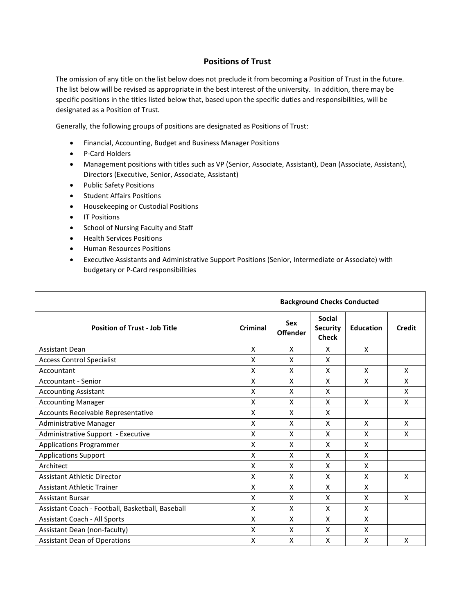## **Positions of Trust**

The omission of any title on the list below does not preclude it from becoming a Position of Trust in the future. The list below will be revised as appropriate in the best interest of the university. In addition, there may be specific positions in the titles listed below that, based upon the specific duties and responsibilities, will be designated as a Position of Trust.

Generally, the following groups of positions are designated as Positions of Trust:

- Financial, Accounting, Budget and Business Manager Positions
- P-Card Holders
- Management positions with titles such as VP (Senior, Associate, Assistant), Dean (Associate, Assistant), Directors (Executive, Senior, Associate, Assistant)
- Public Safety Positions
- Student Affairs Positions
- Housekeeping or Custodial Positions
- IT Positions
- School of Nursing Faculty and Staff
- Health Services Positions
- Human Resources Positions
- Executive Assistants and Administrative Support Positions (Senior, Intermediate or Associate) with budgetary or P-Card responsibilities

|                                                  | <b>Background Checks Conducted</b> |                               |                                                  |                  |               |  |
|--------------------------------------------------|------------------------------------|-------------------------------|--------------------------------------------------|------------------|---------------|--|
| <b>Position of Trust - Job Title</b>             | Criminal                           | <b>Sex</b><br><b>Offender</b> | <b>Social</b><br><b>Security</b><br><b>Check</b> | <b>Education</b> | <b>Credit</b> |  |
| <b>Assistant Dean</b>                            | X                                  | X                             | X                                                | X                |               |  |
| <b>Access Control Specialist</b>                 | X                                  | X                             | X                                                |                  |               |  |
| Accountant                                       | X                                  | X                             | X                                                | X                | X             |  |
| Accountant - Senior                              | X                                  | X                             | X                                                | X                | X             |  |
| <b>Accounting Assistant</b>                      | X                                  | X                             | X                                                |                  | X             |  |
| <b>Accounting Manager</b>                        | X                                  | X                             | X                                                | X                | X             |  |
| Accounts Receivable Representative               | X                                  | X                             | X                                                |                  |               |  |
| Administrative Manager                           | X                                  | X                             | X                                                | X                | X             |  |
| Administrative Support - Executive               | X                                  | X                             | X                                                | X                | X             |  |
| <b>Applications Programmer</b>                   | X                                  | X                             | X                                                | X                |               |  |
| <b>Applications Support</b>                      | X                                  | X                             | X                                                | X                |               |  |
| Architect                                        | X                                  | X                             | X                                                | X                |               |  |
| <b>Assistant Athletic Director</b>               | X                                  | X                             | X                                                | X                | X             |  |
| Assistant Athletic Trainer                       | X                                  | X                             | X                                                | X                |               |  |
| <b>Assistant Bursar</b>                          | X                                  | X                             | X                                                | X                | X             |  |
| Assistant Coach - Football, Basketball, Baseball | X                                  | X                             | X                                                | X                |               |  |
| <b>Assistant Coach - All Sports</b>              | X                                  | X                             | X                                                | X                |               |  |
| Assistant Dean (non-faculty)                     | X                                  | X                             | X                                                | X                |               |  |
| <b>Assistant Dean of Operations</b>              | X                                  | X                             | X                                                | X                | X             |  |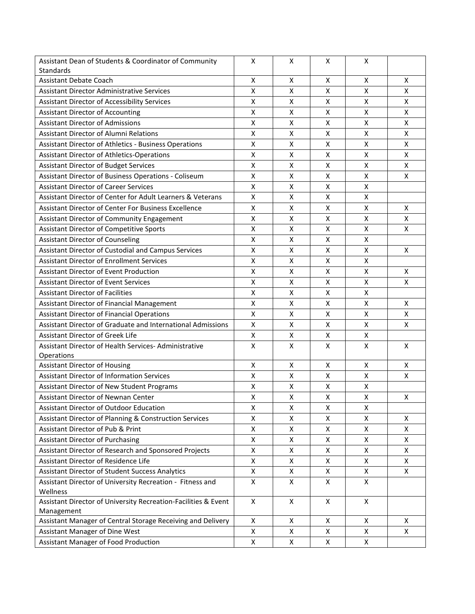| Assistant Dean of Students & Coordinator of Community          | X                  | X                  | X                  | X              |   |
|----------------------------------------------------------------|--------------------|--------------------|--------------------|----------------|---|
| Standards                                                      |                    |                    |                    |                |   |
| <b>Assistant Debate Coach</b>                                  | X                  | X                  | X                  | X              | X |
| <b>Assistant Director Administrative Services</b>              | X                  | X                  | X                  | X              | X |
| Assistant Director of Accessibility Services                   | X                  | X                  | X                  | X              | X |
| <b>Assistant Director of Accounting</b>                        | X                  | X                  | Χ                  | X              | X |
| <b>Assistant Director of Admissions</b>                        | X                  | X                  | $\pmb{\mathsf{X}}$ | Χ              | X |
| <b>Assistant Director of Alumni Relations</b>                  | X                  | X                  | X                  | Χ              | X |
| <b>Assistant Director of Athletics - Business Operations</b>   | X                  | X                  | X                  | X              | X |
| <b>Assistant Director of Athletics-Operations</b>              | X                  | X                  | X                  | X              | X |
| <b>Assistant Director of Budget Services</b>                   | X                  | X                  | X                  | X              | X |
| Assistant Director of Business Operations - Coliseum           | X                  | X                  | X                  | $\overline{X}$ | X |
| <b>Assistant Director of Career Services</b>                   | X                  | X                  | X                  | X              |   |
| Assistant Director of Center for Adult Learners & Veterans     | X                  | X                  | X                  | Χ              |   |
| <b>Assistant Director of Center For Business Excellence</b>    | X                  | X                  | X                  | X              | X |
| Assistant Director of Community Engagement                     | X                  | X                  | X                  | X              | X |
| <b>Assistant Director of Competitive Sports</b>                | X                  | X                  | X                  | X              | X |
| <b>Assistant Director of Counseling</b>                        | X                  | X                  | X                  | X              |   |
| Assistant Director of Custodial and Campus Services            | X                  | X                  | X                  | X              | X |
| <b>Assistant Director of Enrollment Services</b>               | Χ                  | X                  | X                  | Χ              |   |
| <b>Assistant Director of Event Production</b>                  | Χ                  | Χ                  | X                  | Χ              | X |
| <b>Assistant Director of Event Services</b>                    | X                  | X                  | X                  | Χ              | X |
| <b>Assistant Director of Facilities</b>                        | $\pmb{\mathsf{X}}$ | Χ                  | X                  | Χ              |   |
| Assistant Director of Financial Management                     | X                  | X                  | X                  | X              | X |
| <b>Assistant Director of Financial Operations</b>              | X                  | X                  | X                  | Χ              | X |
| Assistant Director of Graduate and International Admissions    | X                  | X                  | X                  | X              | X |
| <b>Assistant Director of Greek Life</b>                        | X                  | X                  | Χ                  | X              |   |
| Assistant Director of Health Services- Administrative          | X                  | X                  | X                  | X              | X |
| Operations                                                     |                    |                    |                    |                |   |
| <b>Assistant Director of Housing</b>                           | X                  | $\pmb{\mathsf{X}}$ | X                  | X              | X |
| <b>Assistant Director of Information Services</b>              | $\pmb{\mathsf{X}}$ | X                  | $\pmb{\mathsf{X}}$ | X              | X |
| Assistant Director of New Student Programs                     | X                  | X                  | X                  | X              |   |
| Assistant Director of Newnan Center                            | X                  | X                  | X                  | X              | X |
| Assistant Director of Outdoor Education                        | Χ                  | Χ                  | X                  | x              |   |
| Assistant Director of Planning & Construction Services         | X                  | X                  | Χ                  | X              | Χ |
| Assistant Director of Pub & Print                              | X                  | X                  | X                  | X              | X |
| <b>Assistant Director of Purchasing</b>                        | X                  | X                  | X                  | X              | X |
| Assistant Director of Research and Sponsored Projects          | X                  | X                  | X                  | X              | X |
| Assistant Director of Residence Life                           | X                  | X                  | X                  | X              | Χ |
| Assistant Director of Student Success Analytics                | X                  | X                  | X                  | X              | X |
| Assistant Director of University Recreation - Fitness and      | X                  | X                  | X                  | Χ              |   |
| Wellness                                                       |                    |                    |                    |                |   |
| Assistant Director of University Recreation-Facilities & Event | X                  | X                  | X                  | X              |   |
| Management                                                     |                    |                    |                    |                |   |
| Assistant Manager of Central Storage Receiving and Delivery    | X                  | Χ                  | Χ                  | X              | Χ |
| Assistant Manager of Dine West                                 | X                  | X                  | X                  | X              | X |
| Assistant Manager of Food Production                           | X                  | X                  | X                  | X              |   |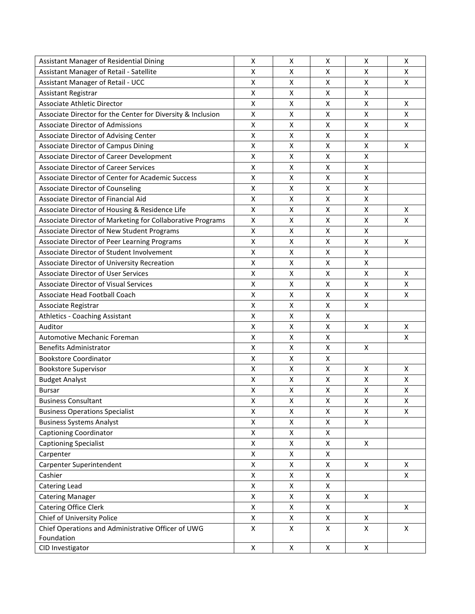| Assistant Manager of Residential Dining                     | X                  | X                  | x | X                  | X |
|-------------------------------------------------------------|--------------------|--------------------|---|--------------------|---|
| Assistant Manager of Retail - Satellite                     | X                  | X                  | x | X                  | X |
| Assistant Manager of Retail - UCC                           | Χ                  | X                  | Χ | $\pmb{\mathsf{X}}$ | X |
| Assistant Registrar                                         | Χ                  | X                  | X | X                  |   |
| Associate Athletic Director                                 | X                  | Χ                  | Χ | X                  | X |
| Associate Director for the Center for Diversity & Inclusion | X                  | X                  | Χ | X                  | X |
| <b>Associate Director of Admissions</b>                     | X                  | X                  | X | X                  | x |
| Associate Director of Advising Center                       | X                  | X                  | x | X                  |   |
| Associate Director of Campus Dining                         | Χ                  | X                  | Χ | $\pmb{\mathsf{X}}$ | X |
| Associate Director of Career Development                    | X                  | Χ                  | Χ | $\pmb{\mathsf{X}}$ |   |
| <b>Associate Director of Career Services</b>                | Χ                  | Χ                  | Χ | $\pmb{\mathsf{X}}$ |   |
| Associate Director of Center for Academic Success           | X                  | Χ                  | Χ | $\pmb{\mathsf{X}}$ |   |
| <b>Associate Director of Counseling</b>                     | X                  | X                  | Χ | $\pmb{\mathsf{X}}$ |   |
| Associate Director of Financial Aid                         | Χ                  | X                  | Χ | X                  |   |
| Associate Director of Housing & Residence Life              | X                  | X                  | X | X                  | х |
| Associate Director of Marketing for Collaborative Programs  | X                  | X                  | X | X                  | X |
| Associate Director of New Student Programs                  | X                  | Χ                  | Χ | $\pmb{\mathsf{X}}$ |   |
| Associate Director of Peer Learning Programs                | X                  | Χ                  | X | X                  | х |
| Associate Director of Student Involvement                   | Χ                  | $\pmb{\mathsf{X}}$ | Χ | X                  |   |
| Associate Director of University Recreation                 | X                  | Χ                  | Χ | $\pmb{\mathsf{X}}$ |   |
| <b>Associate Director of User Services</b>                  | Χ                  | X                  | X | X                  | X |
| <b>Associate Director of Visual Services</b>                | X                  | X                  | x | X                  | x |
| Associate Head Football Coach                               | X                  | X                  | X | X                  | X |
| Associate Registrar                                         | X                  | X                  | X | $\mathsf{X}$       |   |
| Athletics - Coaching Assistant                              | X                  | Χ                  | X |                    |   |
| Auditor                                                     | X                  | X                  | Χ | X                  | X |
| <b>Automotive Mechanic Foreman</b>                          | Χ                  | Χ                  | Χ |                    | X |
| <b>Benefits Administrator</b>                               | Χ                  | X                  | X | X                  |   |
| <b>Bookstore Coordinator</b>                                | X                  | X                  | X |                    |   |
| <b>Bookstore Supervisor</b>                                 | X                  | X                  | X | X                  | Χ |
| <b>Budget Analyst</b>                                       | Χ                  | X                  | X | $\pmb{\mathsf{X}}$ | X |
| <b>Bursar</b>                                               | Χ                  | Χ                  | Χ | $\pmb{\mathsf{X}}$ | X |
| <b>Business Consultant</b>                                  | $\pmb{\mathsf{X}}$ | X                  | X | X                  | X |
| <b>Business Operations Specialist</b>                       | Χ                  | Χ                  | X | X                  | X |
| <b>Business Systems Analyst</b>                             | X                  | X                  | Χ | X                  |   |
| <b>Captioning Coordinator</b>                               | Χ                  | X                  | X |                    |   |
| <b>Captioning Specialist</b>                                | Χ                  | X                  | X | X                  |   |
| Carpenter                                                   | Χ                  | X                  | X |                    |   |
| Carpenter Superintendent                                    | X                  | X                  | X | X                  | X |
| Cashier                                                     | Χ                  | X                  | X |                    | X |
| Catering Lead                                               | Χ                  | Χ                  | Χ |                    |   |
| <b>Catering Manager</b>                                     | Χ                  | X                  | X | X                  |   |
| <b>Catering Office Clerk</b>                                | Χ                  | X                  | X |                    | X |
| Chief of University Police                                  | Χ                  | X                  | X | X                  |   |
| Chief Operations and Administrative Officer of UWG          | X                  | Χ                  | Χ | X                  | Χ |
| Foundation                                                  |                    |                    |   |                    |   |
| CID Investigator                                            | $\mathsf X$        | X                  | X | X                  |   |
|                                                             |                    |                    |   |                    |   |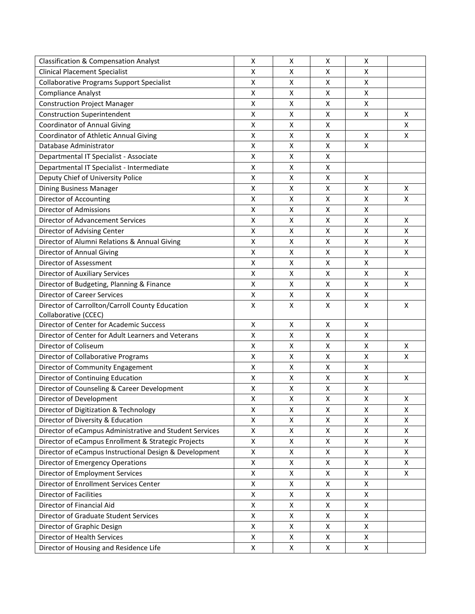| <b>Classification &amp; Compensation Analyst</b>        | x                  | х                  | х | х                  |   |
|---------------------------------------------------------|--------------------|--------------------|---|--------------------|---|
| <b>Clinical Placement Specialist</b>                    | X                  | X                  | X | X                  |   |
| <b>Collaborative Programs Support Specialist</b>        | X                  | X                  | X | $\pmb{\mathsf{X}}$ |   |
| <b>Compliance Analyst</b>                               | Χ                  | X                  | Χ | X                  |   |
| <b>Construction Project Manager</b>                     | Χ                  | $\pmb{\mathsf{X}}$ | X | X                  |   |
| <b>Construction Superintendent</b>                      | Χ                  | Χ                  | Χ | X                  | Χ |
| <b>Coordinator of Annual Giving</b>                     | Χ                  | X                  | X |                    | X |
| Coordinator of Athletic Annual Giving                   | Χ                  | X                  | X | X                  | X |
| Database Administrator                                  | X                  | X                  | X | X                  |   |
| Departmental IT Specialist - Associate                  | X                  | X                  | x |                    |   |
| Departmental IT Specialist - Intermediate               | Χ                  | $\pmb{\mathsf{X}}$ | Χ |                    |   |
| Deputy Chief of University Police                       | Χ                  | $\pmb{\mathsf{X}}$ | Χ | X                  |   |
| <b>Dining Business Manager</b>                          | X                  | X                  | Χ | X                  | Χ |
| Director of Accounting                                  | Χ                  | X                  | Χ | $\pmb{\mathsf{X}}$ | X |
| <b>Director of Admissions</b>                           | Χ                  | $\pmb{\mathsf{X}}$ | X | X                  |   |
| Director of Advancement Services                        | X                  | X                  | X | X                  | X |
| Director of Advising Center                             | X                  | X                  | X | $\pmb{\mathsf{X}}$ | X |
| Director of Alumni Relations & Annual Giving            | Χ                  | $\pmb{\mathsf{X}}$ | Χ | $\pmb{\mathsf{X}}$ | X |
| Director of Annual Giving                               | X                  | X                  | Χ | X                  | X |
| Director of Assessment                                  | Χ                  | $\pmb{\mathsf{X}}$ | Χ | $\pmb{\mathsf{X}}$ |   |
| <b>Director of Auxiliary Services</b>                   | X                  | Χ                  | Χ | $\pmb{\mathsf{X}}$ | X |
| Director of Budgeting, Planning & Finance               | Χ                  | X                  | Χ | X                  | X |
| <b>Director of Career Services</b>                      | Χ                  | X                  | X | X                  |   |
| Director of Carrollton/Carroll County Education         | X                  | x                  | x | X                  | X |
| Collaborative (CCEC)                                    |                    |                    |   |                    |   |
| Director of Center for Academic Success                 | $\pmb{\mathsf{X}}$ | $\pmb{\mathsf{X}}$ | X | $\pmb{\mathsf{X}}$ |   |
| Director of Center for Adult Learners and Veterans      | Χ                  | $\pmb{\mathsf{X}}$ | X | X                  |   |
| Director of Coliseum                                    | X                  | X                  | Χ | $\pmb{\mathsf{X}}$ | Χ |
| Director of Collaborative Programs                      | X                  | X                  | Χ | X                  | X |
| Director of Community Engagement                        | X                  | X                  | x | X                  |   |
| Director of Continuing Education                        | X                  | X                  | Χ | $\pmb{\mathsf{X}}$ | X |
| Director of Counseling & Career Development             | Χ                  | $\pmb{\mathsf{X}}$ | Χ | X                  |   |
| Director of Development                                 | X                  | X                  | X | $\mathsf{x}$       | x |
| Director of Digitization & Technology                   | Χ                  | Χ                  | Χ | X                  | X |
| Director of Diversity & Education                       | Χ                  | Χ                  | Χ | X                  | X |
| Director of eCampus Administrative and Student Services | X                  | X                  | x | X                  | X |
| Director of eCampus Enrollment & Strategic Projects     | Χ                  | X                  | Χ | X                  | X |
| Director of eCampus Instructional Design & Development  | X                  | X                  | X | X                  | X |
| <b>Director of Emergency Operations</b>                 | Χ                  | X                  | X | X                  | X |
| Director of Employment Services                         | $\pmb{\mathsf{X}}$ | X                  | X | $\mathsf X$        | X |
| Director of Enrollment Services Center                  | X                  | X                  | Χ | X                  |   |
| Director of Facilities                                  | X                  | X                  | X | X                  |   |
| Director of Financial Aid                               | X                  | X                  | X | X                  |   |
| Director of Graduate Student Services                   | Χ                  | X                  | x | X                  |   |
| Director of Graphic Design                              | Χ                  | X                  | Χ | X                  |   |
| Director of Health Services                             | Χ                  | X                  | Χ | X                  |   |
| Director of Housing and Residence Life                  | $\pmb{\mathsf{X}}$ | X                  | X | $\pmb{\mathsf{X}}$ |   |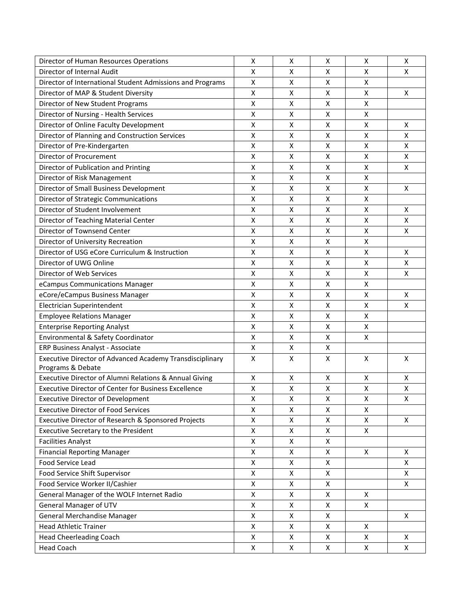| Director of Human Resources Operations                      | X | X                  | x | X                  | X  |
|-------------------------------------------------------------|---|--------------------|---|--------------------|----|
| Director of Internal Audit                                  | X | X                  | x | X                  | X  |
| Director of International Student Admissions and Programs   | Χ | X                  | X | $\pmb{\mathsf{X}}$ |    |
| Director of MAP & Student Diversity                         | Χ | X                  | Χ | X                  | x  |
| Director of New Student Programs                            | X | $\pmb{\mathsf{X}}$ | Χ | X                  |    |
| Director of Nursing - Health Services                       | X | X                  | Χ | $\pmb{\mathsf{X}}$ |    |
| Director of Online Faculty Development                      | X | X                  | x | X                  | x  |
| Director of Planning and Construction Services              | X | X                  | x | X                  | X  |
| Director of Pre-Kindergarten                                | X | X                  | Χ | $\pmb{\mathsf{X}}$ | X  |
| Director of Procurement                                     | Χ | $\pmb{\mathsf{X}}$ | Χ | $\pmb{\mathsf{X}}$ | Χ  |
| Director of Publication and Printing                        | Χ | $\pmb{\mathsf{X}}$ | Χ | $\pmb{\mathsf{X}}$ | Χ  |
| Director of Risk Management                                 | X | X                  | Χ | $\pmb{\mathsf{X}}$ |    |
| Director of Small Business Development                      | X | X                  | Χ | $\pmb{\mathsf{X}}$ | X  |
| Director of Strategic Communications                        | X | x                  | X | $\pmb{\mathsf{X}}$ |    |
| Director of Student Involvement                             | X | X                  | X | X                  | x  |
| Director of Teaching Material Center                        | X | X                  | Χ | X                  | X  |
| Director of Townsend Center                                 | X | $\pmb{\mathsf{X}}$ | Χ | $\pmb{\mathsf{X}}$ | Χ  |
| Director of University Recreation                           | X | Χ                  | X | X                  |    |
| Director of USG eCore Curriculum & Instruction              | X | $\pmb{\mathsf{X}}$ | Χ | X                  | X  |
| Director of UWG Online                                      | X | X                  | Χ | $\pmb{\mathsf{X}}$ | X  |
| Director of Web Services                                    | Χ | X                  | X | $\pmb{\mathsf{X}}$ | X  |
| eCampus Communications Manager                              | X | x                  | x | X                  |    |
| eCore/eCampus Business Manager                              | X | X                  | X | X                  | X  |
| Electrician Superintendent                                  | X | X                  | X | $\pmb{\mathsf{X}}$ | X  |
| <b>Employee Relations Manager</b>                           | X | X                  | Χ | X                  |    |
| <b>Enterprise Reporting Analyst</b>                         | X | Χ                  | Χ | X                  |    |
| Environmental & Safety Coordinator                          | Χ | X                  | Χ | $\pmb{\mathsf{X}}$ |    |
| ERP Business Analyst - Associate                            | Χ | X                  | X |                    |    |
| Executive Director of Advanced Academy Transdisciplinary    | X | X                  | X | X                  | x  |
| Programs & Debate                                           |   |                    |   |                    |    |
| Executive Director of Alumni Relations & Annual Giving      | X | Χ                  | Χ | X                  | X  |
| <b>Executive Director of Center for Business Excellence</b> | Χ | $\pmb{\mathsf{X}}$ | Χ | $\pmb{\mathsf{X}}$ | Χ  |
| <b>Executive Director of Development</b>                    | X | X                  | Χ | $\mathsf{X}$       | Χ  |
| <b>Executive Director of Food Services</b>                  | X | х                  | x | X                  |    |
| Executive Director of Research & Sponsored Projects         | X | X                  | X | X                  | X  |
| Executive Secretary to the President                        | Χ | X                  | X | $\mathsf{x}$       |    |
| <b>Facilities Analyst</b>                                   | X | X                  | x |                    |    |
| <b>Financial Reporting Manager</b>                          | Χ | X                  | X | X                  | X  |
| Food Service Lead                                           | Χ | Χ                  | X |                    | X  |
| Food Service Shift Supervisor                               | X | X                  | X |                    | X  |
| Food Service Worker II/Cashier                              | X | X                  | X |                    | X  |
| General Manager of the WOLF Internet Radio                  | Χ | X                  | X | X                  |    |
| General Manager of UTV                                      | X | X                  | X | X                  |    |
| General Merchandise Manager                                 | X | X                  | Χ |                    | X  |
| <b>Head Athletic Trainer</b>                                | Χ | Χ                  | X | X                  |    |
| <b>Head Cheerleading Coach</b>                              | Χ | Χ                  | Χ | X                  | X  |
| <b>Head Coach</b>                                           | X | X                  | X | X                  | X. |
|                                                             |   |                    |   |                    |    |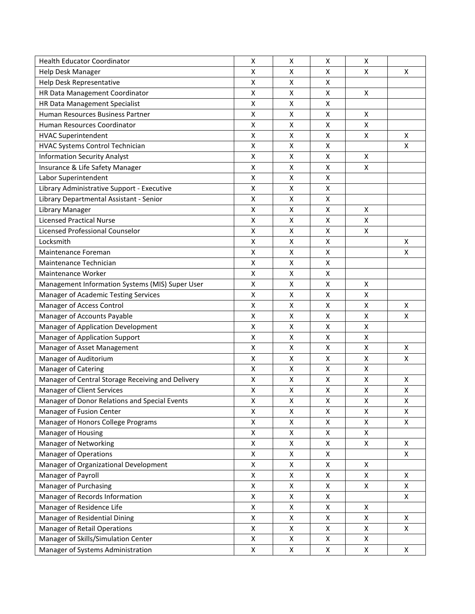| <b>Health Educator Coordinator</b>                | x | х                  | х | х                  |   |
|---------------------------------------------------|---|--------------------|---|--------------------|---|
| Help Desk Manager                                 | X | X                  | x | X                  | X |
| Help Desk Representative                          | X | X                  | X |                    |   |
| HR Data Management Coordinator                    | X | X                  | Χ | X                  |   |
| HR Data Management Specialist                     | Χ | Χ                  | Χ |                    |   |
| Human Resources Business Partner                  | Χ | Χ                  | Χ | X                  |   |
| Human Resources Coordinator                       | X | X                  | X | $\pmb{\mathsf{X}}$ |   |
| <b>HVAC Superintendent</b>                        | Χ | X                  | X | X                  | x |
| HVAC Systems Control Technician                   | Χ | X                  | X |                    | X |
| <b>Information Security Analyst</b>               | X | X                  | x | X                  |   |
| Insurance & Life Safety Manager                   | Χ | $\pmb{\mathsf{X}}$ | Χ | $\pmb{\mathsf{X}}$ |   |
| Labor Superintendent                              | Χ | $\pmb{\mathsf{X}}$ | Χ |                    |   |
| Library Administrative Support - Executive        | X | $\pmb{\mathsf{X}}$ | Χ |                    |   |
| Library Departmental Assistant - Senior           | Χ | X                  | X |                    |   |
| Library Manager                                   | Χ | X                  | Χ | X                  |   |
| <b>Licensed Practical Nurse</b>                   | Χ | X                  | Χ | X                  |   |
| Licensed Professional Counselor                   | X | X                  | x | $\pmb{\mathsf{X}}$ |   |
| Locksmith                                         | X | X                  | Χ |                    | x |
| Maintenance Foreman                               | X | X                  | X |                    | X |
| Maintenance Technician                            | Χ | $\pmb{\mathsf{X}}$ | Χ |                    |   |
| <b>Maintenance Worker</b>                         | Χ | X                  | Χ |                    |   |
| Management Information Systems (MIS) Super User   | X | X                  | Χ | Χ                  |   |
| Manager of Academic Testing Services              | X | X                  | X | X                  |   |
| Manager of Access Control                         | X | x                  | x | X                  | x |
| Manager of Accounts Payable                       | X | X                  | x | X                  | x |
| Manager of Application Development                | X | X                  | X | X                  |   |
| Manager of Application Support                    | Χ | $\pmb{\mathsf{X}}$ | Χ | X                  |   |
| Manager of Asset Management                       | X | X                  | X | X                  | Χ |
| Manager of Auditorium                             | X | X                  | X | X                  | X |
| Manager of Catering                               | Χ | $\pmb{\mathsf{X}}$ | X | X                  |   |
| Manager of Central Storage Receiving and Delivery | X | X                  | x | $\pmb{\mathsf{X}}$ | x |
| Manager of Client Services                        | X | X                  | x | X                  | X |
| Manager of Donor Relations and Special Events     | Χ | Χ                  | X | $\pmb{\mathsf{X}}$ | X |
| Manager of Fusion Center                          | X | X                  | Χ | X                  | Χ |
| Manager of Honors College Programs                | X | Χ                  | Χ | $\pmb{\mathsf{X}}$ | X |
| Manager of Housing                                | Χ | Χ                  | Χ | X                  |   |
| Manager of Networking                             | Χ | Χ                  | Χ | X                  | X |
| <b>Manager of Operations</b>                      | Χ | Χ                  | Χ |                    | X |
| Manager of Organizational Development             | Χ | Χ                  | x | X                  |   |
| Manager of Payroll                                | X | Χ                  | x | Χ                  | x |
| Manager of Purchasing                             | Χ | Χ                  | Χ | X                  | X |
| Manager of Records Information                    | Χ | Χ                  | x |                    | Χ |
| Manager of Residence Life                         | Χ | Χ                  | Χ | X                  |   |
| Manager of Residential Dining                     | X | Χ                  | Χ | X                  | X |
| Manager of Retail Operations                      | Χ | Χ                  | Χ | $\pmb{\mathsf{X}}$ | X |
| Manager of Skills/Simulation Center               | X | X                  | X | Χ                  |   |
| Manager of Systems Administration                 | X | X                  | X | X                  | X |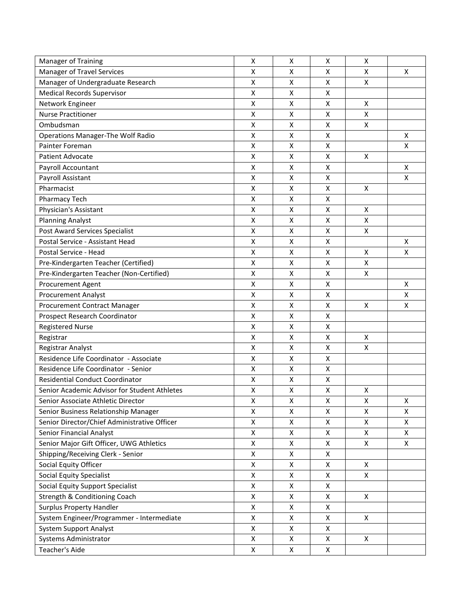| Manager of Training                          | X | х                  | х | х                  |   |
|----------------------------------------------|---|--------------------|---|--------------------|---|
| <b>Manager of Travel Services</b>            | X | X                  | X | X                  | X |
| Manager of Undergraduate Research            | X | X                  | X | $\mathsf{X}$       |   |
| <b>Medical Records Supervisor</b>            | Χ | X                  | Χ |                    |   |
| Network Engineer                             | Χ | Χ                  | Χ | X                  |   |
| <b>Nurse Practitioner</b>                    | Χ | Χ                  | Χ | $\pmb{\mathsf{X}}$ |   |
| Ombudsman                                    | X | X                  | X | $\pmb{\mathsf{X}}$ |   |
| <b>Operations Manager-The Wolf Radio</b>     | Χ | X                  | X |                    | Χ |
| Painter Foreman                              | X | X                  | Χ |                    | X |
| <b>Patient Advocate</b>                      | X | X                  | x | X                  |   |
| Payroll Accountant                           | Χ | $\pmb{\mathsf{X}}$ | Χ |                    | X |
| Payroll Assistant                            | Χ | $\pmb{\mathsf{X}}$ | Χ |                    | X |
| Pharmacist                                   | X | X                  | Χ | X                  |   |
| Pharmacy Tech                                | Χ | X                  | Χ |                    |   |
| Physician's Assistant                        | Χ | $\pmb{\mathsf{X}}$ | Χ | X                  |   |
| <b>Planning Analyst</b>                      | Χ | X                  | Χ | X                  |   |
| Post Award Services Specialist               | X | X                  | x | $\pmb{\mathsf{X}}$ |   |
| Postal Service - Assistant Head              | Χ | X                  | Χ |                    | x |
| Postal Service - Head                        | X | X                  | Χ | $\pmb{\mathsf{X}}$ | X |
| Pre-Kindergarten Teacher (Certified)         | Χ | $\pmb{\mathsf{X}}$ | Χ | X                  |   |
| Pre-Kindergarten Teacher (Non-Certified)     | Χ | Χ                  | Χ | $\mathsf{X}$       |   |
| Procurement Agent                            | Χ | X                  | Χ |                    | Χ |
| <b>Procurement Analyst</b>                   | X | X                  | X |                    | X |
| Procurement Contract Manager                 | X | x                  | x | X                  | x |
| Prospect Research Coordinator                | X | X                  | x |                    |   |
| <b>Registered Nurse</b>                      | X | X                  | X |                    |   |
| Registrar                                    | Χ | $\pmb{\mathsf{X}}$ | Χ | X                  |   |
| Registrar Analyst                            | Χ | Χ                  | Χ | $\mathsf{X}$       |   |
| Residence Life Coordinator - Associate       | X | X                  | Χ |                    |   |
| Residence Life Coordinator - Senior          | Χ | $\pmb{\mathsf{X}}$ | X |                    |   |
| <b>Residential Conduct Coordinator</b>       | X | X                  | X |                    |   |
| Senior Academic Advisor for Student Athletes | X | X                  | Χ | Х                  |   |
| Senior Associate Athletic Director           | Χ | Χ                  | X | $\pmb{\mathsf{X}}$ | X |
| Senior Business Relationship Manager         | Χ | X                  | Χ | X                  | Χ |
| Senior Director/Chief Administrative Officer | X | Χ                  | Χ | $\pmb{\mathsf{X}}$ | Χ |
| <b>Senior Financial Analyst</b>              | Χ | Χ                  | Χ | X                  | X |
| Senior Major Gift Officer, UWG Athletics     | Χ | Χ                  | Χ | $\pmb{\times}$     | X |
| Shipping/Receiving Clerk - Senior            | Χ | Χ                  | Χ |                    |   |
| Social Equity Officer                        | Χ | Χ                  | x | X                  |   |
| Social Equity Specialist                     | X | X                  | x | X                  |   |
| <b>Social Equity Support Specialist</b>      | Χ | Χ                  | X |                    |   |
| Strength & Conditioning Coach                | Χ | Χ                  | X | X                  |   |
| <b>Surplus Property Handler</b>              | Χ | Χ                  | Χ |                    |   |
| System Engineer/Programmer - Intermediate    | X | Χ                  | Χ | X                  |   |
| <b>System Support Analyst</b>                | Χ | Χ                  | Χ |                    |   |
| Systems Administrator                        | X | X                  | X | X                  |   |
| Teacher's Aide                               | X | X                  | X |                    |   |